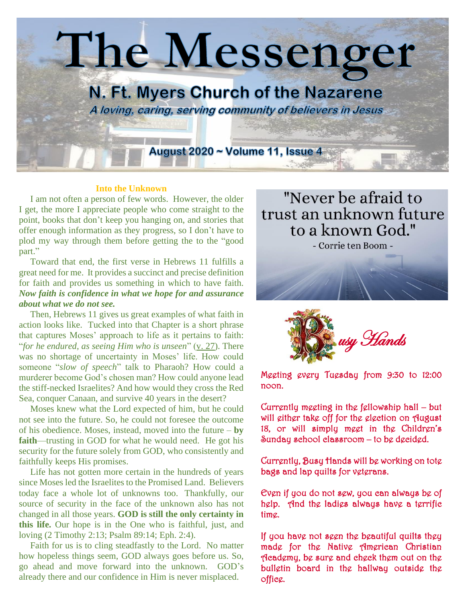

#### **Into the Unknown**

 I am not often a person of few words. However, the older I get, the more I appreciate people who come straight to the point, books that don't keep you hanging on, and stories that offer enough information as they progress, so I don't have to plod my way through them before getting the to the "good part."

 Toward that end, the first verse in Hebrews 11 fulfills a great need for me. It provides a succinct and precise definition for faith and provides us something in which to have faith. *Now faith is confidence in what we hope for and assurance about what we do not see.*

 Then, Hebrews 11 gives us great examples of what faith in action looks like. Tucked into that Chapter is a short phrase that captures Moses' approach to life as it pertains to faith: "*for he endured, as seeing Him who is unseen*" [\(v. 27\)](https://www.intouch.org/read/magazine/daily-devotions/facing-the-unknown). There was no shortage of uncertainty in Moses' life. How could someone "*slow of speech*" talk to Pharaoh? How could a murderer become God's chosen man? How could anyone lead the stiff-necked Israelites? And how would they cross the Red Sea, conquer Canaan, and survive 40 years in the desert?

 Moses knew what the Lord expected of him, but he could not see into the future. So, he could not foresee the outcome of his obedience. Moses, instead, moved into the future – **by faith**—trusting in GOD for what he would need. He got his security for the future solely from GOD, who consistently and faithfully keeps His promises.

 Life has not gotten more certain in the hundreds of years since Moses led the Israelites to the Promised Land. Believers today face a whole lot of unknowns too. Thankfully, our source of security in the face of the unknown also has not changed in all those years. **GOD is still the only certainty in this life.** Our hope is in the One who is faithful, just, and loving [\(2 Timothy 2:13;](https://www.intouch.org/read/magazine/daily-devotions/facing-the-unknown) [Psalm 89:14;](https://www.intouch.org/read/magazine/daily-devotions/facing-the-unknown) [Eph. 2:4\)](https://www.intouch.org/read/magazine/daily-devotions/facing-the-unknown).

 Faith for us is to cling steadfastly to the Lord. No matter how hopeless things seem, GOD always goes before us. So, go ahead and move forward into the unknown. GOD's already there and our confidence in Him is never misplaced.

"Never be afraid to trust an unknown future to a known God."

- Corrie ten Boom -





Meeting every Tuesday from 9:30 to 12:00 noon.

Currently meeting in the fellowship hall – but will either take off for the election on August 18, or will simply meet in the Children's Sunday school classroom – to be decided.

Currently, Busy Hands will be working on tote bags and lap quilts for veterans.

Even if you do not sew, you can always be of help. And the ladies always have a terrific time.

If you have not seen the beautiful quilts they made for the Native American Christian Academy, be sure and check them out on the bulletin board in the hallway outside the office.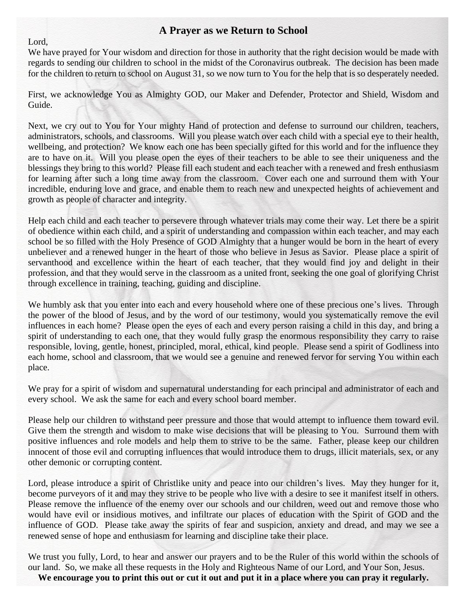### **A Prayer as we Return to School**

Lord,

We have prayed for Your wisdom and direction for those in authority that the right decision would be made with regards to sending our children to school in the midst of the Coronavirus outbreak. The decision has been made for the children to return to school on August 31, so we now turn to You for the help that is so desperately needed.

First, we acknowledge You as Almighty GOD, our Maker and Defender, Protector and Shield, Wisdom and Guide.

Next, we cry out to You for Your mighty Hand of protection and defense to surround our children, teachers, administrators, schools, and classrooms. Will you please watch over each child with a special eye to their health, wellbeing, and protection? We know each one has been specially gifted for this world and for the influence they are to have on it. Will you please open the eyes of their teachers to be able to see their uniqueness and the blessings they bring to this world? Please fill each student and each teacher with a renewed and fresh enthusiasm for learning after such a long time away from the classroom. Cover each one and surround them with Your incredible, enduring love and grace, and enable them to reach new and unexpected heights of achievement and growth as people of character and integrity.

Help each child and each teacher to persevere through whatever trials may come their way. Let there be a spirit of obedience within each child, and a spirit of understanding and compassion within each teacher, and may each school be so filled with the Holy Presence of GOD Almighty that a hunger would be born in the heart of every unbeliever and a renewed hunger in the heart of those who believe in Jesus as Savior. Please place a spirit of servanthood and excellence within the heart of each teacher, that they would find joy and delight in their profession, and that they would serve in the classroom as a united front, seeking the one goal of glorifying Christ through excellence in training, teaching, guiding and discipline.

We humbly ask that you enter into each and every household where one of these precious one's lives. Through the power of the blood of Jesus, and by the word of our testimony, would you systematically remove the evil influences in each home? Please open the eyes of each and every person raising a child in this day, and bring a spirit of understanding to each one, that they would fully grasp the enormous responsibility they carry to raise responsible, loving, gentle, honest, principled, moral, ethical, kind people. Please send a spirit of Godliness into each home, school and classroom, that we would see a genuine and renewed fervor for serving You within each place.

We pray for a spirit of wisdom and supernatural understanding for each principal and administrator of each and every school. We ask the same for each and every school board member.

Please help our children to withstand peer pressure and those that would attempt to influence them toward evil. Give them the strength and wisdom to make wise decisions that will be pleasing to You. Surround them with positive influences and role models and help them to strive to be the same. Father, please keep our children innocent of those evil and corrupting influences that would introduce them to drugs, illicit materials, sex, or any other demonic or corrupting content.

Lord, please introduce a spirit of Christlike unity and peace into our children's lives. May they hunger for it, become purveyors of it and may they strive to be people who live with a desire to see it manifest itself in others. Please remove the influence of the enemy over our schools and our children, weed out and remove those who would have evil or insidious motives, and infiltrate our places of education with the Spirit of GOD and the influence of GOD. Please take away the spirits of fear and suspicion, anxiety and dread, and may we see a renewed sense of hope and enthusiasm for learning and discipline take their place.

We trust you fully, Lord, to hear and answer our prayers and to be the Ruler of this world within the schools of our land. So, we make all these requests in the Holy and Righteous Name of our Lord, and Your Son, Jesus. **We encourage you to print this out or cut it out and put it in a place where you can pray it regularly.**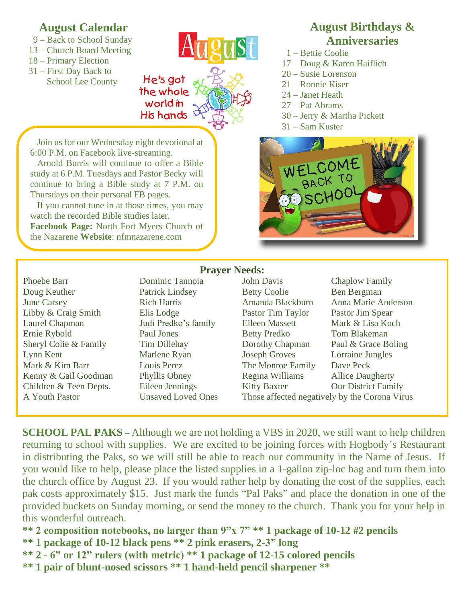## **August Calendar**

- 9 Back to School Sunday
- 13 Church Board Meeting
- 18 Primary Election
- 31 First Day Back to School Lee County

He's got the whole worldin His hands

 Join us for our Wednesday night devotional at 6:00 P.M. on Facebook live-streaming.

 Arnold Burris will continue to offer a Bible study at 6 P.M. Tuesdays and Pastor Becky will continue to bring a Bible study at 7 P.M. on Thursdays on their personal FB pages.

 If you cannot tune in at those times, you may watch the recorded Bible studies later. **Facebook Page:** North Fort Myers Church of the Nazarene **Website**: nfmnazarene.com

## **August Birthdays & Anniversaries**

- 1 Bettie Coolie
- 17 Doug & Karen Haiflich
- 20 Susie Lorenson
- 21 Ronnie Kiser
- 24 Janet Heath
- 27 Pat Abrams
- 30 Jerry & Martha Pickett
- 31 Sam Kuster



Phoebe Barr **Dominic Tannoia** John Davis Chaplow Family

# **Prayer Needs:**

Doug Keuther **Patrick Lindsey** Betty Coolie Ben Bergman June Carsey **Rich Harris** Amanda Blackburn Anna Marie Anderson Libby & Craig Smith Elis Lodge Pastor Tim Taylor Pastor Jim Spear Laurel Chapman Judi Predko's family Eileen Massett Mark & Lisa Koch Ernie Rybold Paul Jones Betty Predko Tom Blakeman Sheryl Colie & Family Tim Dillehay Dorothy Chapman Paul & Grace Boling Lynn Kent Marlene Ryan Joseph Groves Lorraine Jungles Mark & Kim Barr Louis Perez The Monroe Family Dave Peck Kenny & Gail Goodman Phyllis Obney Regina Williams Allice Daugherty Children & Teen Depts. Eileen Jennings Kitty Baxter Our District Family A Youth Pastor Unsaved Loved Ones Those affected negatively by the Corona Virus

**SCHOOL PAL PAKS** – Although we are not holding a VBS in 2020, we still want to help children returning to school with supplies. We are excited to be joining forces with Hogbody's Restaurant in distributing the Paks, so we will still be able to reach our community in the Name of Jesus. If you would like to help, please place the listed supplies in a 1-gallon zip-loc bag and turn them into the church office by August 23. If you would rather help by donating the cost of the supplies, each pak costs approximately \$15. Just mark the funds "Pal Paks" and place the donation in one of the provided buckets on Sunday morning, or send the money to the church. Thank you for your help in this wonderful outreach.

**\*\* 2 composition notebooks, no larger than 9"x 7" \*\* 1 package of 10-12 #2 pencils**

- **\*\* 1 package of 10-12 black pens \*\* 2 pink erasers, 2-3" long**
- **\*\* 2 - 6" or 12" rulers (with metric) \*\* 1 package of 12-15 colored pencils**
- **\*\* 1 pair of blunt-nosed scissors \*\* 1 hand-held pencil sharpener \*\***